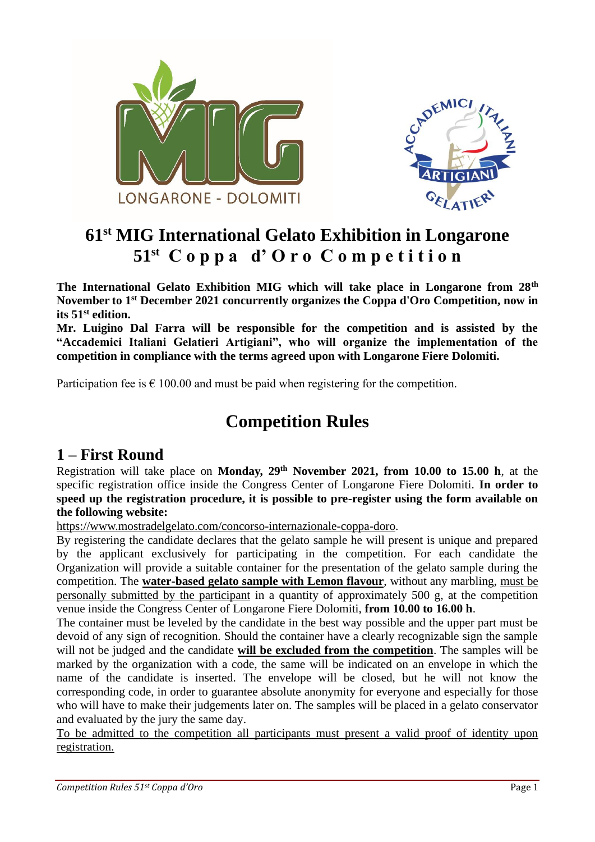



# **61st MIG International Gelato Exhibition in Longarone 51st C o p p a d' O r o C o m p e t i t i o n**

**The International Gelato Exhibition MIG which will take place in Longarone from 28th November to 1st December 2021 concurrently organizes the Coppa d'Oro Competition, now in its 51st edition.** 

**Mr. Luigino Dal Farra will be responsible for the competition and is assisted by the "Accademici Italiani Gelatieri Artigiani", who will organize the implementation of the competition in compliance with the terms agreed upon with Longarone Fiere Dolomiti.** 

Participation fee is  $\epsilon$  100.00 and must be paid when registering for the competition.

# **Competition Rules**

### **1 – First Round**

Registration will take place on **Monday, 29th November 2021, from 10.00 to 15.00 h**, at the specific registration office inside the Congress Center of Longarone Fiere Dolomiti. **In order to speed up the registration procedure, it is possible to pre-register using the form available on the following website:**

[https://www.mostradelgelato.com/concorso-internazionale-coppa-doro.](https://www.mostradelgelato.com/concorso-internazionale-coppa-doro)

By registering the candidate declares that the gelato sample he will present is unique and prepared by the applicant exclusively for participating in the competition. For each candidate the Organization will provide a suitable container for the presentation of the gelato sample during the competition. The **water-based gelato sample with Lemon flavour**, without any marbling, must be personally submitted by the participant in a quantity of approximately 500 g, at the competition venue inside the Congress Center of Longarone Fiere Dolomiti, **from 10.00 to 16.00 h**.

The container must be leveled by the candidate in the best way possible and the upper part must be devoid of any sign of recognition. Should the container have a clearly recognizable sign the sample will not be judged and the candidate **will be excluded from the competition**. The samples will be marked by the organization with a code, the same will be indicated on an envelope in which the name of the candidate is inserted. The envelope will be closed, but he will not know the corresponding code, in order to guarantee absolute anonymity for everyone and especially for those who will have to make their judgements later on. The samples will be placed in a gelato conservator and evaluated by the jury the same day.

To be admitted to the competition all participants must present a valid proof of identity upon registration.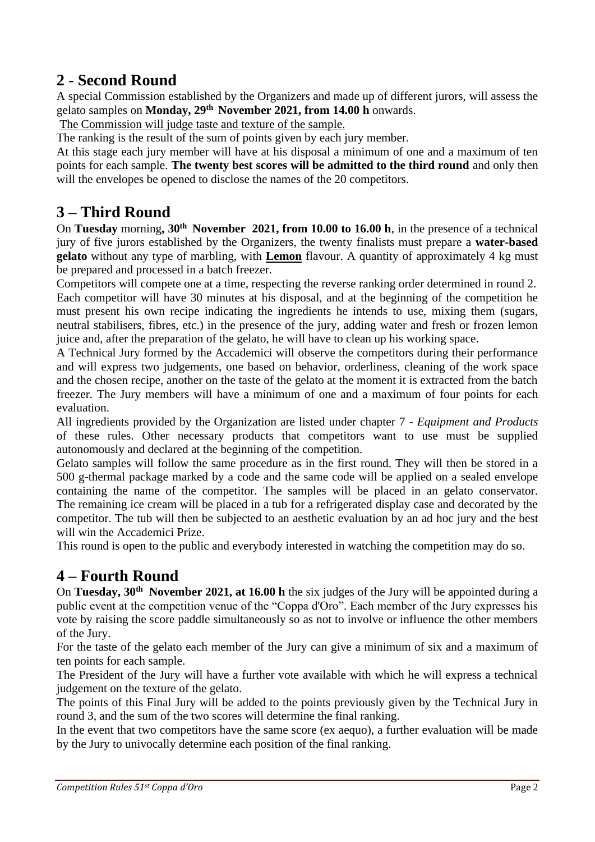### **2 - Second Round**

A special Commission established by the Organizers and made up of different jurors, will assess the gelato samples on **Monday, 29th November 2021, from 14.00 h** onwards.

The Commission will judge taste and texture of the sample.

The ranking is the result of the sum of points given by each jury member.

At this stage each jury member will have at his disposal a minimum of one and a maximum of ten points for each sample. **The twenty best scores will be admitted to the third round** and only then will the envelopes be opened to disclose the names of the 20 competitors.

#### **3 – Third Round**

On **Tuesday** morning**, 30th November 2021, from 10.00 to 16.00 h**, in the presence of a technical jury of five jurors established by the Organizers, the twenty finalists must prepare a **water-based gelato** without any type of marbling, with **Lemon** flavour. A quantity of approximately 4 kg must be prepared and processed in a batch freezer.

Competitors will compete one at a time, respecting the reverse ranking order determined in round 2. Each competitor will have 30 minutes at his disposal, and at the beginning of the competition he must present his own recipe indicating the ingredients he intends to use, mixing them (sugars, neutral stabilisers, fibres, etc.) in the presence of the jury, adding water and fresh or frozen lemon juice and, after the preparation of the gelato, he will have to clean up his working space.

A Technical Jury formed by the Accademici will observe the competitors during their performance and will express two judgements, one based on behavior, orderliness, cleaning of the work space and the chosen recipe, another on the taste of the gelato at the moment it is extracted from the batch freezer. The Jury members will have a minimum of one and a maximum of four points for each evaluation.

All ingredients provided by the Organization are listed under chapter 7 *- Equipment and Products*  of these rules. Other necessary products that competitors want to use must be supplied autonomously and declared at the beginning of the competition.

Gelato samples will follow the same procedure as in the first round. They will then be stored in a 500 g-thermal package marked by a code and the same code will be applied on a sealed envelope containing the name of the competitor. The samples will be placed in an gelato conservator. The remaining ice cream will be placed in a tub for a refrigerated display case and decorated by the competitor. The tub will then be subjected to an aesthetic evaluation by an ad hoc jury and the best will win the Accademici Prize.

This round is open to the public and everybody interested in watching the competition may do so.

## **4 – Fourth Round**

On **Tuesday, 30th November 2021, at 16.00 h** the six judges of the Jury will be appointed during a public event at the competition venue of the "Coppa d'Oro". Each member of the Jury expresses his vote by raising the score paddle simultaneously so as not to involve or influence the other members of the Jury.

For the taste of the gelato each member of the Jury can give a minimum of six and a maximum of ten points for each sample.

The President of the Jury will have a further vote available with which he will express a technical judgement on the texture of the gelato.

The points of this Final Jury will be added to the points previously given by the Technical Jury in round 3, and the sum of the two scores will determine the final ranking.

In the event that two competitors have the same score (ex aequo), a further evaluation will be made by the Jury to univocally determine each position of the final ranking.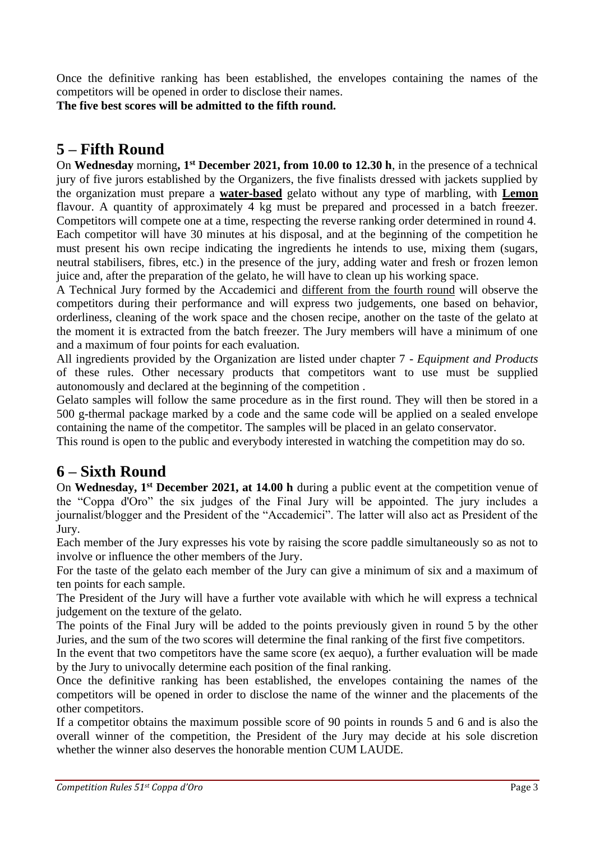Once the definitive ranking has been established, the envelopes containing the names of the competitors will be opened in order to disclose their names.

**The five best scores will be admitted to the fifth round.**

## **5 – Fifth Round**

On **Wednesday** morning**, 1st December 2021, from 10.00 to 12.30 h**, in the presence of a technical jury of five jurors established by the Organizers, the five finalists dressed with jackets supplied by the organization must prepare a **water-based** gelato without any type of marbling, with **Lemon** flavour. A quantity of approximately 4 kg must be prepared and processed in a batch freezer. Competitors will compete one at a time, respecting the reverse ranking order determined in round 4. Each competitor will have 30 minutes at his disposal, and at the beginning of the competition he must present his own recipe indicating the ingredients he intends to use, mixing them (sugars, neutral stabilisers, fibres, etc.) in the presence of the jury, adding water and fresh or frozen lemon juice and, after the preparation of the gelato, he will have to clean up his working space.

A Technical Jury formed by the Accademici and different from the fourth round will observe the competitors during their performance and will express two judgements, one based on behavior, orderliness, cleaning of the work space and the chosen recipe, another on the taste of the gelato at the moment it is extracted from the batch freezer. The Jury members will have a minimum of one and a maximum of four points for each evaluation.

All ingredients provided by the Organization are listed under chapter 7 *- Equipment and Products*  of these rules. Other necessary products that competitors want to use must be supplied autonomously and declared at the beginning of the competition .

Gelato samples will follow the same procedure as in the first round. They will then be stored in a 500 g-thermal package marked by a code and the same code will be applied on a sealed envelope containing the name of the competitor. The samples will be placed in an gelato conservator.

This round is open to the public and everybody interested in watching the competition may do so.

#### **6 – Sixth Round**

On **Wednesday, 1st December 2021, at 14.00 h** during a public event at the competition venue of the "Coppa d'Oro" the six judges of the Final Jury will be appointed. The jury includes a journalist/blogger and the President of the "Accademici". The latter will also act as President of the Jury.

Each member of the Jury expresses his vote by raising the score paddle simultaneously so as not to involve or influence the other members of the Jury.

For the taste of the gelato each member of the Jury can give a minimum of six and a maximum of ten points for each sample.

The President of the Jury will have a further vote available with which he will express a technical judgement on the texture of the gelato.

The points of the Final Jury will be added to the points previously given in round 5 by the other Juries, and the sum of the two scores will determine the final ranking of the first five competitors.

In the event that two competitors have the same score (ex aequo), a further evaluation will be made by the Jury to univocally determine each position of the final ranking.

Once the definitive ranking has been established, the envelopes containing the names of the competitors will be opened in order to disclose the name of the winner and the placements of the other competitors.

If a competitor obtains the maximum possible score of 90 points in rounds 5 and 6 and is also the overall winner of the competition, the President of the Jury may decide at his sole discretion whether the winner also deserves the honorable mention CUM LAUDE.